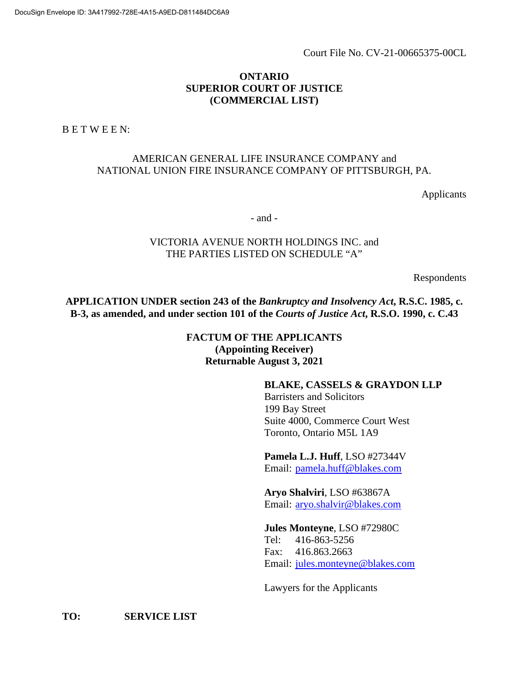Court File No. CV-21-00665375-00CL

## **ONTARIO SUPERIOR COURT OF JUSTICE (COMMERCIAL LIST)**

B E T W E E N:

## AMERICAN GENERAL LIFE INSURANCE COMPANY and NATIONAL UNION FIRE INSURANCE COMPANY OF PITTSBURGH, PA.

Applicants

- and -

#### VICTORIA AVENUE NORTH HOLDINGS INC. and THE PARTIES LISTED ON SCHEDULE "A"

Respondents

**APPLICATION UNDER section 243 of the** *Bankruptcy and Insolvency Act***, R.S.C. 1985, c. B-3, as amended, and under section 101 of the** *Courts of Justice Act***, R.S.O. 1990, c. C.43** 

## **FACTUM OF THE APPLICANTS (Appointing Receiver) Returnable August 3, 2021**

## **BLAKE, CASSELS & GRAYDON LLP**

Barristers and Solicitors 199 Bay Street Suite 4000, Commerce Court West Toronto, Ontario M5L 1A9

**Pamela L.J. Huff**, LSO #27344V Email: pamela.huff@blakes.com

**Aryo Shalviri**, LSO #63867A Email: aryo.shalvir@blakes.com

**Jules Monteyne**, LSO #72980C Tel: 416-863-5256 Fax: 416.863.2663 Email: jules.monteyne@blakes.com

Lawyers for the Applicants

**TO: SERVICE LIST**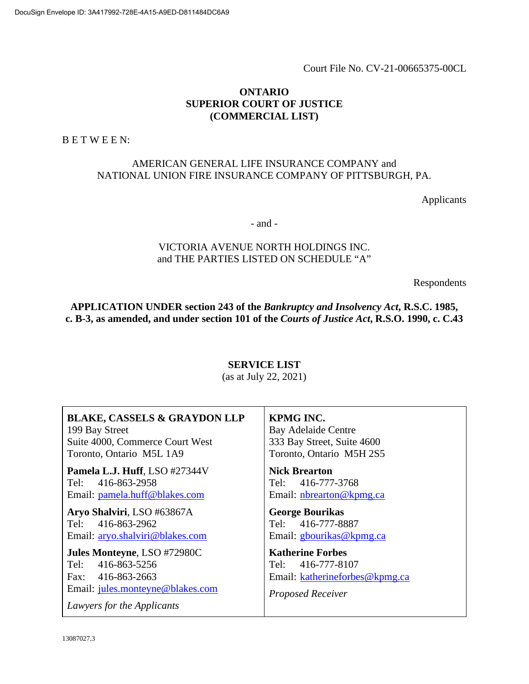Court File No. CV-21-00665375-00CL

#### **ONTARIO SUPERIOR COURT OF JUSTICE (COMMERCIAL LIST)**

B E T W E E N:

### AMERICAN GENERAL LIFE INSURANCE COMPANY and NATIONAL UNION FIRE INSURANCE COMPANY OF PITTSBURGH, PA.

Applicants

- and -

## VICTORIA AVENUE NORTH HOLDINGS INC. and THE PARTIES LISTED ON SCHEDULE "A"

Respondents

**APPLICATION UNDER section 243 of the** *Bankruptcy and Insolvency Act***, R.S.C. 1985, c. B-3, as amended, and under section 101 of the** *Courts of Justice Act***, R.S.O. 1990, c. C.43** 

#### **SERVICE LIST**

(as at July 22, 2021)

| <b>BLAKE, CASSELS &amp; GRAYDON LLP</b>                                                | <b>KPMG INC.</b>                                                        |
|----------------------------------------------------------------------------------------|-------------------------------------------------------------------------|
| 199 Bay Street                                                                         | <b>Bay Adelaide Centre</b>                                              |
| Suite 4000, Commerce Court West                                                        | 333 Bay Street, Suite 4600                                              |
| Toronto, Ontario M5L 1A9                                                               | Toronto, Ontario M5H 2S5                                                |
| Pamela L.J. Huff, LSO #27344V<br>416-863-2958<br>Tel:<br>Email: pamela.huff@blakes.com | <b>Nick Brearton</b><br>Tel: 416-777-3768<br>Email: nbrearton@kpmg.ca   |
| Aryo Shalviri, LSO #63867A<br>416-863-2962<br>Tel:<br>Email: aryo.shalviri@blakes.com  | <b>George Bourikas</b><br>Tel: 416-777-8887<br>Email: gbourikas@kpmg.ca |
| Jules Monteyne, LSO #72980C                                                            | <b>Katherine Forbes</b>                                                 |
| Tel: 416-863-5256                                                                      | 416-777-8107                                                            |
| Fax: 416-863-2663                                                                      | Tel:                                                                    |
| Email: jules.monteyne@blakes.com                                                       | Email: katherineforbes@kpmg.ca                                          |
| Lawyers for the Applicants                                                             | <b>Proposed Receiver</b>                                                |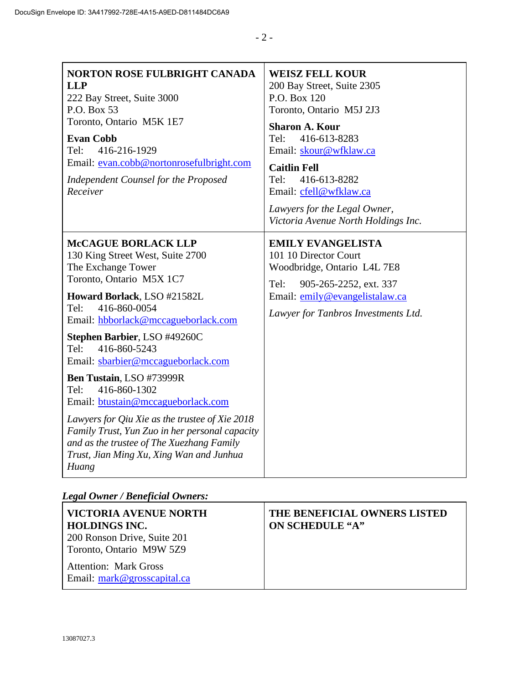| <b>NORTON ROSE FULBRIGHT CANADA</b><br><b>LLP</b><br>222 Bay Street, Suite 3000<br>P.O. Box 53<br>Toronto, Ontario M5K 1E7<br><b>Evan Cobb</b><br>416-216-1929<br>Tel:<br>Email: evan.cobb@nortonrosefulbright.com<br>Independent Counsel for the Proposed<br>Receiver                                                                                                                                                                                                                                                                                                                                       | <b>WEISZ FELL KOUR</b><br>200 Bay Street, Suite 2305<br>P.O. Box 120<br>Toronto, Ontario M5J 2J3<br><b>Sharon A. Kour</b><br>416-613-8283<br>Tel:<br>Email: skour@wfklaw.ca<br><b>Caitlin Fell</b><br>Tel:<br>416-613-8282<br>Email: cfell@wfklaw.ca<br>Lawyers for the Legal Owner,<br>Victoria Avenue North Holdings Inc. |
|--------------------------------------------------------------------------------------------------------------------------------------------------------------------------------------------------------------------------------------------------------------------------------------------------------------------------------------------------------------------------------------------------------------------------------------------------------------------------------------------------------------------------------------------------------------------------------------------------------------|-----------------------------------------------------------------------------------------------------------------------------------------------------------------------------------------------------------------------------------------------------------------------------------------------------------------------------|
| <b>McCAGUE BORLACK LLP</b><br>130 King Street West, Suite 2700<br>The Exchange Tower<br>Toronto, Ontario M5X 1C7<br>Howard Borlack, LSO #21582L<br>Tel:<br>416-860-0054<br>Email: hbborlack@mccagueborlack.com<br>Stephen Barbier, LSO #49260C<br>Tel:<br>416-860-5243<br>Email: sbarbier@mccagueborlack.com<br>Ben Tustain, LSO #73999R<br>416-860-1302<br>Tel:<br>Email: btustain@mccagueborlack.com<br>Lawyers for Qiu Xie as the trustee of Xie 2018<br>Family Trust, Yun Zuo in her personal capacity<br>and as the trustee of The Xuezhang Family<br>Trust, Jian Ming Xu, Xing Wan and Junhua<br>Huang | <b>EMILY EVANGELISTA</b><br>101 10 Director Court<br>Woodbridge, Ontario L4L 7E8<br>905-265-2252, ext. 337<br>Tel:<br>Email: emily@evangelistalaw.ca<br>Lawyer for Tanbros Investments Ltd.                                                                                                                                 |

# *Legal Owner / Beneficial Owners:*

| VICTORIA AVENUE NORTH<br><b>HOLDINGS INC.</b><br>200 Ronson Drive, Suite 201<br>Toronto, Ontario M9W 5Z9 | THE BENEFICIAL OWNERS LISTED<br><b>ON SCHEDULE "A"</b> |
|----------------------------------------------------------------------------------------------------------|--------------------------------------------------------|
| <b>Attention: Mark Gross</b><br>Email: mark@grosscapital.ca                                              |                                                        |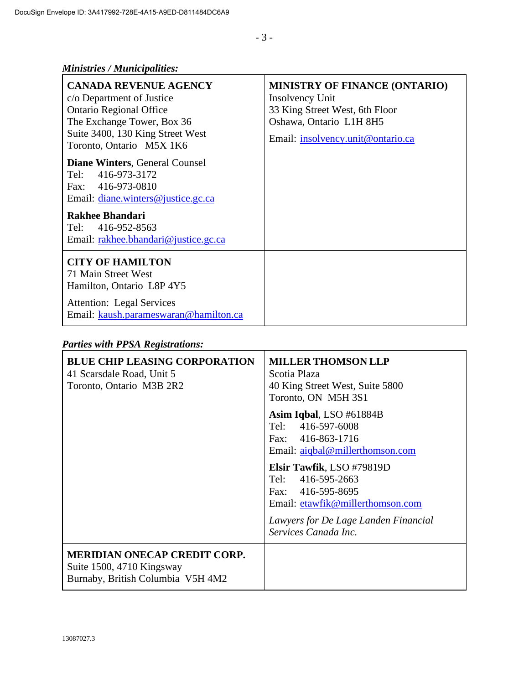| <b>CANADA REVENUE AGENCY</b><br>c/o Department of Justice<br><b>Ontario Regional Office</b><br>The Exchange Tower, Box 36<br>Suite 3400, 130 King Street West<br>Toronto, Ontario M5X 1K6                       | <b>MINISTRY OF FINANCE (ONTARIO)</b><br>Insolvency Unit<br>33 King Street West, 6th Floor<br>Oshawa, Ontario L1H 8H5<br>Email: insolvency.unit@ontario.ca |
|-----------------------------------------------------------------------------------------------------------------------------------------------------------------------------------------------------------------|-----------------------------------------------------------------------------------------------------------------------------------------------------------|
| <b>Diane Winters, General Counsel</b><br>Tel:<br>416-973-3172<br>Fax: 416-973-0810<br>Email: diane.winters@justice.gc.ca<br><b>Rakhee Bhandari</b><br>Tel: 416-952-8563<br>Email: rakhee.bhandari@justice.gc.ca |                                                                                                                                                           |
| <b>CITY OF HAMILTON</b><br>71 Main Street West<br>Hamilton, Ontario L8P 4Y5<br><b>Attention:</b> Legal Services<br>Email: kaush.parameswaran@hamilton.ca                                                        |                                                                                                                                                           |

# *Parties with PPSA Registrations:*

| <b>BLUE CHIP LEASING CORPORATION</b><br>41 Scarsdale Road, Unit 5<br>Toronto, Ontario M3B 2R2         | <b>MILLER THOMSON LLP</b><br>Scotia Plaza<br>40 King Street West, Suite 5800<br>Toronto, ON M5H 3S1<br>Asim Iqbal, LSO #61884B<br>416-597-6008<br>Tel:<br>Fax: 416-863-1716<br>Email: aiqbal@millerthomson.com<br>Elsir Tawfik, LSO #79819D<br>Tel: 416-595-2663<br>Fax: 416-595-8695<br>Email: etawfik@millerthomson.com |
|-------------------------------------------------------------------------------------------------------|---------------------------------------------------------------------------------------------------------------------------------------------------------------------------------------------------------------------------------------------------------------------------------------------------------------------------|
|                                                                                                       | Lawyers for De Lage Landen Financial<br>Services Canada Inc.                                                                                                                                                                                                                                                              |
| <b>MERIDIAN ONECAP CREDIT CORP.</b><br>Suite 1500, 4710 Kingsway<br>Burnaby, British Columbia V5H 4M2 |                                                                                                                                                                                                                                                                                                                           |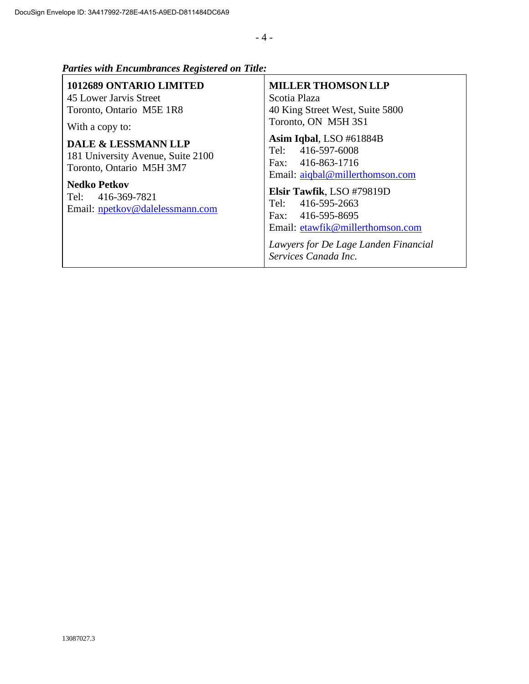*Parties with Encumbrances Registered on Title:* 

| 1012689 ONTARIO LIMITED<br>45 Lower Jarvis Street<br>Toronto, Ontario M5E 1R8<br>With a copy to:<br><b>DALE &amp; LESSMANN LLP</b><br>181 University Avenue, Suite 2100<br>Toronto, Ontario M5H 3M7<br><b>Nedko Petkov</b><br>Tel: 416-369-7821<br>Email: npetkov@dalelessmann.com | <b>MILLER THOMSON LLP</b><br>Scotia Plaza<br>40 King Street West, Suite 5800<br>Toronto, ON M5H 3S1<br>Asim Iqbal, LSO #61884B<br>Tel:<br>416-597-6008<br>Fax: 416-863-1716<br>Email: aiqbal@millerthomson.com<br>Elsir Tawfik, LSO #79819D<br>Tel: 416-595-2663<br>Fax: 416-595-8695<br>Email: etawfik@millerthomson.com |
|------------------------------------------------------------------------------------------------------------------------------------------------------------------------------------------------------------------------------------------------------------------------------------|---------------------------------------------------------------------------------------------------------------------------------------------------------------------------------------------------------------------------------------------------------------------------------------------------------------------------|
|                                                                                                                                                                                                                                                                                    | Lawyers for De Lage Landen Financial<br>Services Canada Inc.                                                                                                                                                                                                                                                              |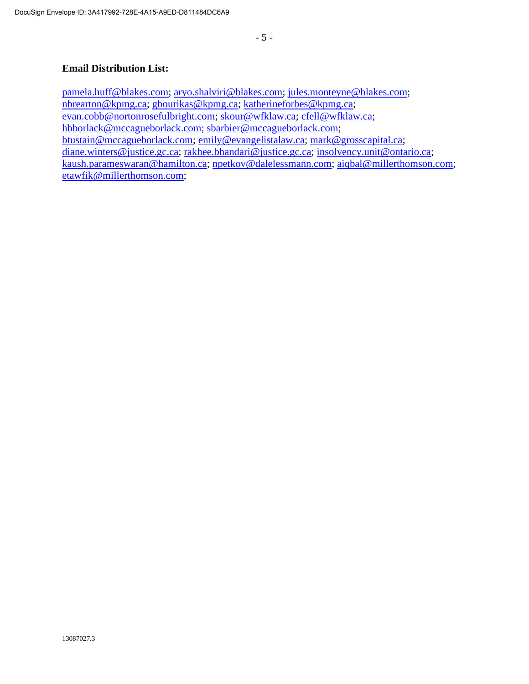## **Email Distribution List:**

pamela.huff@blakes.com; aryo.shalviri@blakes.com; jules.monteyne@blakes.com; nbrearton@kpmg.ca; gbourikas@kpmg.ca; katherineforbes@kpmg.ca; evan.cobb@nortonrosefulbright.com; skour@wfklaw.ca; cfell@wfklaw.ca; hbborlack@mccagueborlack.com; sbarbier@mccagueborlack.com; btustain@mccagueborlack.com; emily@evangelistalaw.ca; mark@grosscapital.ca; diane.winters@justice.gc.ca; rakhee.bhandari@justice.gc.ca; insolvency.unit@ontario.ca; kaush.parameswaran@hamilton.ca; npetkov@dalelessmann.com; aiqbal@millerthomson.com; etawfik@millerthomson.com;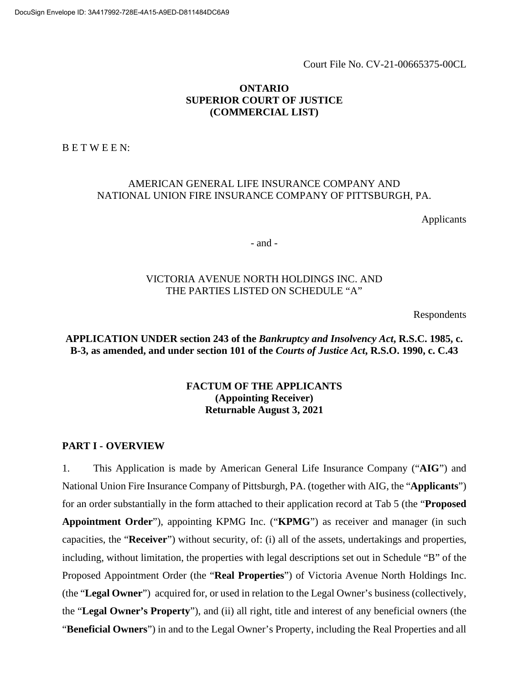Court File No. CV-21-00665375-00CL

#### **ONTARIO SUPERIOR COURT OF JUSTICE (COMMERCIAL LIST)**

B E T W E E N:

#### AMERICAN GENERAL LIFE INSURANCE COMPANY AND NATIONAL UNION FIRE INSURANCE COMPANY OF PITTSBURGH, PA.

Applicants

- and -

#### VICTORIA AVENUE NORTH HOLDINGS INC. AND THE PARTIES LISTED ON SCHEDULE "A"

Respondents

**APPLICATION UNDER section 243 of the** *Bankruptcy and Insolvency Act***, R.S.C. 1985, c. B-3, as amended, and under section 101 of the** *Courts of Justice Act***, R.S.O. 1990, c. C.43** 

#### **FACTUM OF THE APPLICANTS (Appointing Receiver) Returnable August 3, 2021**

#### **PART I - OVERVIEW**

1. This Application is made by American General Life Insurance Company ("**AIG**") and National Union Fire Insurance Company of Pittsburgh, PA. (together with AIG, the "**Applicants**") for an order substantially in the form attached to their application record at Tab 5 (the "**Proposed Appointment Order**"), appointing KPMG Inc. ("**KPMG**") as receiver and manager (in such capacities, the "**Receiver**") without security, of: (i) all of the assets, undertakings and properties, including, without limitation, the properties with legal descriptions set out in Schedule "B" of the Proposed Appointment Order (the "**Real Properties**") of Victoria Avenue North Holdings Inc. (the "**Legal Owner**") acquired for, or used in relation to the Legal Owner's business (collectively, the "**Legal Owner's Property**"), and (ii) all right, title and interest of any beneficial owners (the "**Beneficial Owners**") in and to the Legal Owner's Property, including the Real Properties and all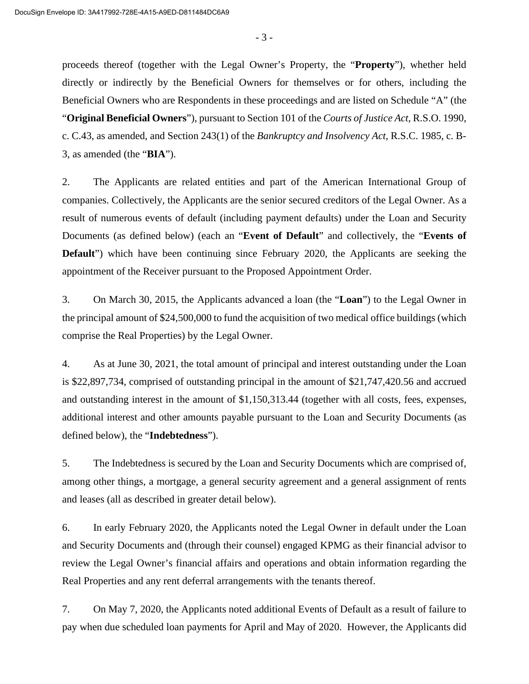- 3 -

proceeds thereof (together with the Legal Owner's Property, the "**Property**"), whether held directly or indirectly by the Beneficial Owners for themselves or for others, including the Beneficial Owners who are Respondents in these proceedings and are listed on Schedule "A" (the "**Original Beneficial Owners**"), pursuant to Section 101 of the *Courts of Justice Act*, R.S.O. 1990, c. C.43, as amended, and Section 243(1) of the *Bankruptcy and Insolvency Act*, R.S.C. 1985, c. B-3, as amended (the "**BIA**").

2. The Applicants are related entities and part of the American International Group of companies. Collectively, the Applicants are the senior secured creditors of the Legal Owner. As a result of numerous events of default (including payment defaults) under the Loan and Security Documents (as defined below) (each an "**Event of Default**" and collectively, the "**Events of Default**") which have been continuing since February 2020, the Applicants are seeking the appointment of the Receiver pursuant to the Proposed Appointment Order.

3. On March 30, 2015, the Applicants advanced a loan (the "**Loan**") to the Legal Owner in the principal amount of \$24,500,000 to fund the acquisition of two medical office buildings (which comprise the Real Properties) by the Legal Owner.

4. As at June 30, 2021, the total amount of principal and interest outstanding under the Loan is \$22,897,734, comprised of outstanding principal in the amount of \$21,747,420.56 and accrued and outstanding interest in the amount of \$1,150,313.44 (together with all costs, fees, expenses, additional interest and other amounts payable pursuant to the Loan and Security Documents (as defined below), the "**Indebtedness**").

5. The Indebtedness is secured by the Loan and Security Documents which are comprised of, among other things, a mortgage, a general security agreement and a general assignment of rents and leases (all as described in greater detail below).

6. In early February 2020, the Applicants noted the Legal Owner in default under the Loan and Security Documents and (through their counsel) engaged KPMG as their financial advisor to review the Legal Owner's financial affairs and operations and obtain information regarding the Real Properties and any rent deferral arrangements with the tenants thereof.

7. On May 7, 2020, the Applicants noted additional Events of Default as a result of failure to pay when due scheduled loan payments for April and May of 2020. However, the Applicants did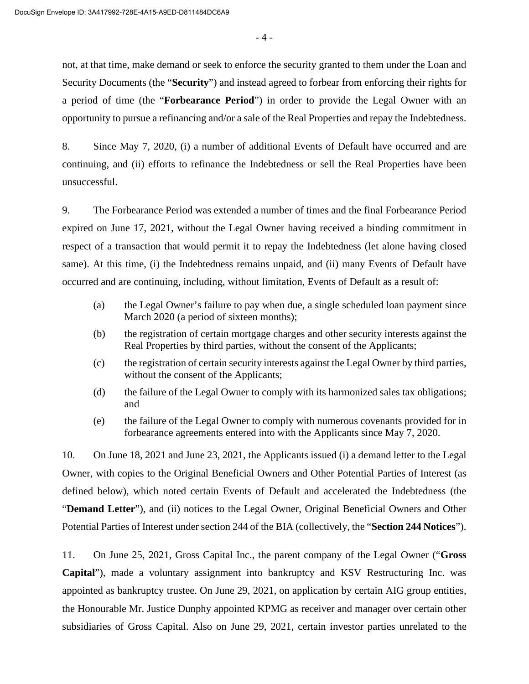not, at that time, make demand or seek to enforce the security granted to them under the Loan and Security Documents (the "**Security**") and instead agreed to forbear from enforcing their rights for a period of time (the "**Forbearance Period**") in order to provide the Legal Owner with an opportunity to pursue a refinancing and/or a sale of the Real Properties and repay the Indebtedness.

8. Since May 7, 2020, (i) a number of additional Events of Default have occurred and are continuing, and (ii) efforts to refinance the Indebtedness or sell the Real Properties have been unsuccessful.

9. The Forbearance Period was extended a number of times and the final Forbearance Period expired on June 17, 2021, without the Legal Owner having received a binding commitment in respect of a transaction that would permit it to repay the Indebtedness (let alone having closed same). At this time, (i) the Indebtedness remains unpaid, and (ii) many Events of Default have occurred and are continuing, including, without limitation, Events of Default as a result of:

- (a) the Legal Owner's failure to pay when due, a single scheduled loan payment since March 2020 (a period of sixteen months);
- (b) the registration of certain mortgage charges and other security interests against the Real Properties by third parties, without the consent of the Applicants;
- (c) the registration of certain security interests against the Legal Owner by third parties, without the consent of the Applicants;
- (d) the failure of the Legal Owner to comply with its harmonized sales tax obligations; and
- (e) the failure of the Legal Owner to comply with numerous covenants provided for in forbearance agreements entered into with the Applicants since May 7, 2020.

10. On June 18, 2021 and June 23, 2021, the Applicants issued (i) a demand letter to the Legal Owner, with copies to the Original Beneficial Owners and Other Potential Parties of Interest (as defined below), which noted certain Events of Default and accelerated the Indebtedness (the "**Demand Letter**"), and (ii) notices to the Legal Owner, Original Beneficial Owners and Other Potential Parties of Interest under section 244 of the BIA (collectively, the "**Section 244 Notices**").

11. On June 25, 2021, Gross Capital Inc., the parent company of the Legal Owner ("**Gross Capital**"), made a voluntary assignment into bankruptcy and KSV Restructuring Inc. was appointed as bankruptcy trustee. On June 29, 2021, on application by certain AIG group entities, the Honourable Mr. Justice Dunphy appointed KPMG as receiver and manager over certain other subsidiaries of Gross Capital. Also on June 29, 2021, certain investor parties unrelated to the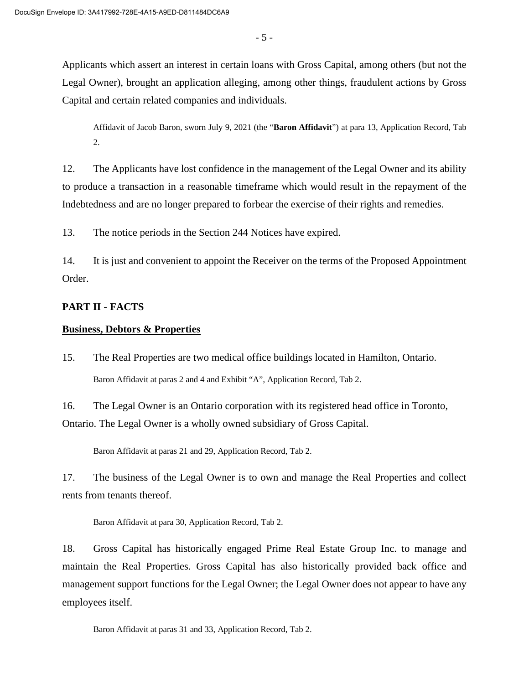Applicants which assert an interest in certain loans with Gross Capital, among others (but not the Legal Owner), brought an application alleging, among other things, fraudulent actions by Gross Capital and certain related companies and individuals.

Affidavit of Jacob Baron, sworn July 9, 2021 (the "**Baron Affidavit**") at para 13, Application Record, Tab 2.

12. The Applicants have lost confidence in the management of the Legal Owner and its ability to produce a transaction in a reasonable timeframe which would result in the repayment of the Indebtedness and are no longer prepared to forbear the exercise of their rights and remedies.

13. The notice periods in the Section 244 Notices have expired.

14. It is just and convenient to appoint the Receiver on the terms of the Proposed Appointment Order.

#### **PART II - FACTS**

#### **Business, Debtors & Properties**

15. The Real Properties are two medical office buildings located in Hamilton, Ontario. Baron Affidavit at paras 2 and 4 and Exhibit "A", Application Record, Tab 2.

16. The Legal Owner is an Ontario corporation with its registered head office in Toronto, Ontario. The Legal Owner is a wholly owned subsidiary of Gross Capital.

Baron Affidavit at paras 21 and 29, Application Record, Tab 2.

17. The business of the Legal Owner is to own and manage the Real Properties and collect rents from tenants thereof.

Baron Affidavit at para 30, Application Record, Tab 2.

18. Gross Capital has historically engaged Prime Real Estate Group Inc. to manage and maintain the Real Properties. Gross Capital has also historically provided back office and management support functions for the Legal Owner; the Legal Owner does not appear to have any employees itself.

Baron Affidavit at paras 31 and 33, Application Record, Tab 2.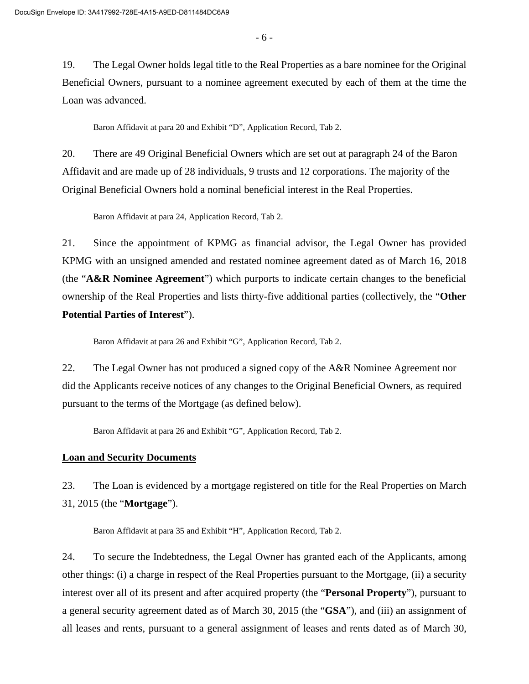19. The Legal Owner holds legal title to the Real Properties as a bare nominee for the Original Beneficial Owners, pursuant to a nominee agreement executed by each of them at the time the Loan was advanced.

Baron Affidavit at para 20 and Exhibit "D", Application Record, Tab 2.

20. There are 49 Original Beneficial Owners which are set out at paragraph 24 of the Baron Affidavit and are made up of 28 individuals, 9 trusts and 12 corporations. The majority of the Original Beneficial Owners hold a nominal beneficial interest in the Real Properties.

Baron Affidavit at para 24, Application Record, Tab 2.

21. Since the appointment of KPMG as financial advisor, the Legal Owner has provided KPMG with an unsigned amended and restated nominee agreement dated as of March 16, 2018 (the "**A&R Nominee Agreement**") which purports to indicate certain changes to the beneficial ownership of the Real Properties and lists thirty-five additional parties (collectively, the "**Other Potential Parties of Interest**").

Baron Affidavit at para 26 and Exhibit "G", Application Record, Tab 2.

22. The Legal Owner has not produced a signed copy of the A&R Nominee Agreement nor did the Applicants receive notices of any changes to the Original Beneficial Owners, as required pursuant to the terms of the Mortgage (as defined below).

Baron Affidavit at para 26 and Exhibit "G", Application Record, Tab 2.

#### **Loan and Security Documents**

23. The Loan is evidenced by a mortgage registered on title for the Real Properties on March 31, 2015 (the "**Mortgage**").

Baron Affidavit at para 35 and Exhibit "H", Application Record, Tab 2.

24. To secure the Indebtedness, the Legal Owner has granted each of the Applicants, among other things: (i) a charge in respect of the Real Properties pursuant to the Mortgage, (ii) a security interest over all of its present and after acquired property (the "**Personal Property**"), pursuant to a general security agreement dated as of March 30, 2015 (the "**GSA**"), and (iii) an assignment of all leases and rents, pursuant to a general assignment of leases and rents dated as of March 30,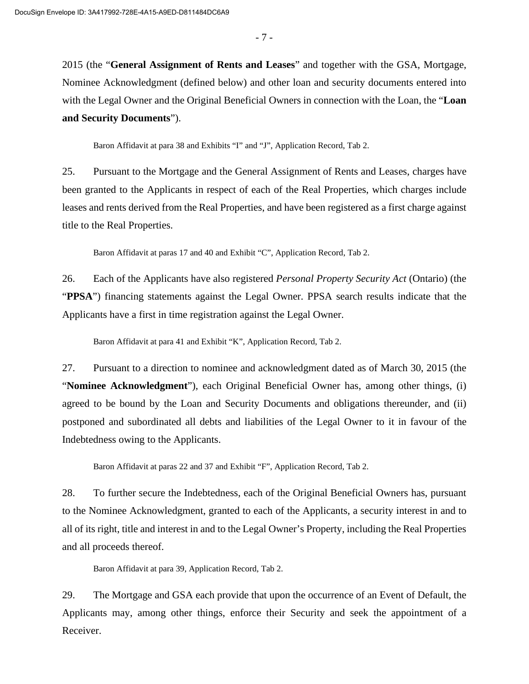- 7 -

2015 (the "**General Assignment of Rents and Leases**" and together with the GSA, Mortgage, Nominee Acknowledgment (defined below) and other loan and security documents entered into with the Legal Owner and the Original Beneficial Owners in connection with the Loan, the "**Loan and Security Documents**").

Baron Affidavit at para 38 and Exhibits "I" and "J", Application Record, Tab 2.

25. Pursuant to the Mortgage and the General Assignment of Rents and Leases, charges have been granted to the Applicants in respect of each of the Real Properties, which charges include leases and rents derived from the Real Properties, and have been registered as a first charge against title to the Real Properties.

Baron Affidavit at paras 17 and 40 and Exhibit "C", Application Record, Tab 2.

26. Each of the Applicants have also registered *Personal Property Security Act* (Ontario) (the "**PPSA**") financing statements against the Legal Owner. PPSA search results indicate that the Applicants have a first in time registration against the Legal Owner.

Baron Affidavit at para 41 and Exhibit "K", Application Record, Tab 2.

27. Pursuant to a direction to nominee and acknowledgment dated as of March 30, 2015 (the "**Nominee Acknowledgment**"), each Original Beneficial Owner has, among other things, (i) agreed to be bound by the Loan and Security Documents and obligations thereunder, and (ii) postponed and subordinated all debts and liabilities of the Legal Owner to it in favour of the Indebtedness owing to the Applicants.

Baron Affidavit at paras 22 and 37 and Exhibit "F", Application Record, Tab 2.

28. To further secure the Indebtedness, each of the Original Beneficial Owners has, pursuant to the Nominee Acknowledgment, granted to each of the Applicants, a security interest in and to all of its right, title and interest in and to the Legal Owner's Property, including the Real Properties and all proceeds thereof.

Baron Affidavit at para 39, Application Record, Tab 2.

29. The Mortgage and GSA each provide that upon the occurrence of an Event of Default, the Applicants may, among other things, enforce their Security and seek the appointment of a Receiver.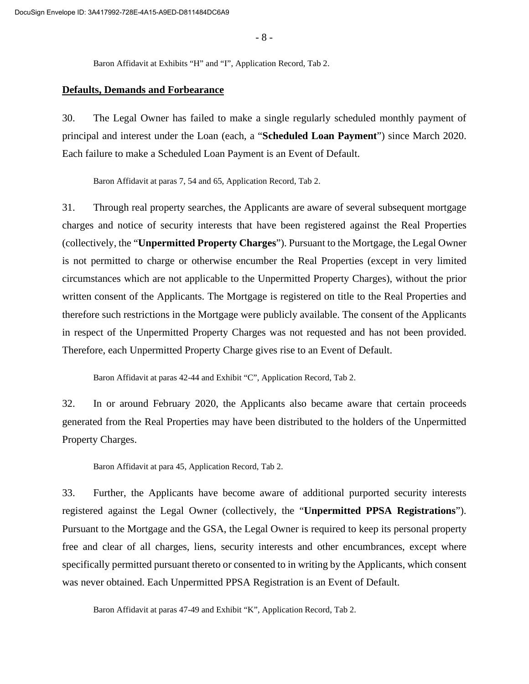Baron Affidavit at Exhibits "H" and "I", Application Record, Tab 2.

#### **Defaults, Demands and Forbearance**

30. The Legal Owner has failed to make a single regularly scheduled monthly payment of principal and interest under the Loan (each, a "**Scheduled Loan Payment**") since March 2020. Each failure to make a Scheduled Loan Payment is an Event of Default.

Baron Affidavit at paras 7, 54 and 65, Application Record, Tab 2.

31. Through real property searches, the Applicants are aware of several subsequent mortgage charges and notice of security interests that have been registered against the Real Properties (collectively, the "**Unpermitted Property Charges**"). Pursuant to the Mortgage, the Legal Owner is not permitted to charge or otherwise encumber the Real Properties (except in very limited circumstances which are not applicable to the Unpermitted Property Charges), without the prior written consent of the Applicants. The Mortgage is registered on title to the Real Properties and therefore such restrictions in the Mortgage were publicly available. The consent of the Applicants in respect of the Unpermitted Property Charges was not requested and has not been provided. Therefore, each Unpermitted Property Charge gives rise to an Event of Default.

Baron Affidavit at paras 42-44 and Exhibit "C", Application Record, Tab 2.

32. In or around February 2020, the Applicants also became aware that certain proceeds generated from the Real Properties may have been distributed to the holders of the Unpermitted Property Charges.

Baron Affidavit at para 45, Application Record, Tab 2.

33. Further, the Applicants have become aware of additional purported security interests registered against the Legal Owner (collectively, the "**Unpermitted PPSA Registrations**"). Pursuant to the Mortgage and the GSA, the Legal Owner is required to keep its personal property free and clear of all charges, liens, security interests and other encumbrances, except where specifically permitted pursuant thereto or consented to in writing by the Applicants, which consent was never obtained. Each Unpermitted PPSA Registration is an Event of Default.

Baron Affidavit at paras 47-49 and Exhibit "K", Application Record, Tab 2.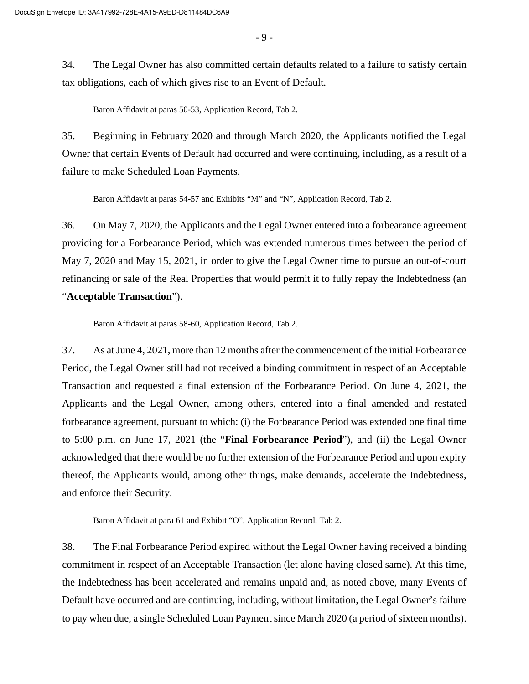- 9 -

34. The Legal Owner has also committed certain defaults related to a failure to satisfy certain tax obligations, each of which gives rise to an Event of Default.

Baron Affidavit at paras 50-53, Application Record, Tab 2.

35. Beginning in February 2020 and through March 2020, the Applicants notified the Legal Owner that certain Events of Default had occurred and were continuing, including, as a result of a failure to make Scheduled Loan Payments.

Baron Affidavit at paras 54-57 and Exhibits "M" and "N", Application Record, Tab 2.

36. On May 7, 2020, the Applicants and the Legal Owner entered into a forbearance agreement providing for a Forbearance Period, which was extended numerous times between the period of May 7, 2020 and May 15, 2021, in order to give the Legal Owner time to pursue an out-of-court refinancing or sale of the Real Properties that would permit it to fully repay the Indebtedness (an "**Acceptable Transaction**").

Baron Affidavit at paras 58-60, Application Record, Tab 2.

37. As at June 4, 2021, more than 12 months after the commencement of the initial Forbearance Period, the Legal Owner still had not received a binding commitment in respect of an Acceptable Transaction and requested a final extension of the Forbearance Period. On June 4, 2021, the Applicants and the Legal Owner, among others, entered into a final amended and restated forbearance agreement, pursuant to which: (i) the Forbearance Period was extended one final time to 5:00 p.m. on June 17, 2021 (the "**Final Forbearance Period**"), and (ii) the Legal Owner acknowledged that there would be no further extension of the Forbearance Period and upon expiry thereof, the Applicants would, among other things, make demands, accelerate the Indebtedness, and enforce their Security.

Baron Affidavit at para 61 and Exhibit "O", Application Record, Tab 2.

38. The Final Forbearance Period expired without the Legal Owner having received a binding commitment in respect of an Acceptable Transaction (let alone having closed same). At this time, the Indebtedness has been accelerated and remains unpaid and, as noted above, many Events of Default have occurred and are continuing, including, without limitation, the Legal Owner's failure to pay when due, a single Scheduled Loan Payment since March 2020 (a period of sixteen months).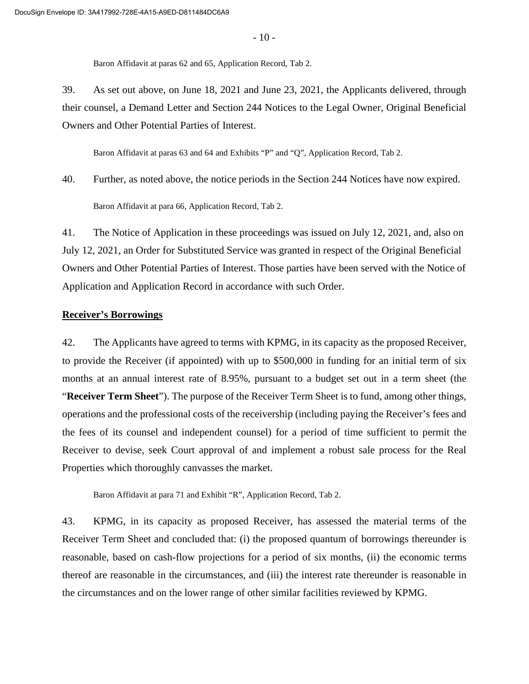$-10-$ 

Baron Affidavit at paras 62 and 65, Application Record, Tab 2.

39. As set out above, on June 18, 2021 and June 23, 2021, the Applicants delivered, through their counsel, a Demand Letter and Section 244 Notices to the Legal Owner, Original Beneficial Owners and Other Potential Parties of Interest.

Baron Affidavit at paras 63 and 64 and Exhibits "P" and "Q", Application Record, Tab 2.

40. Further, as noted above, the notice periods in the Section 244 Notices have now expired.

Baron Affidavit at para 66, Application Record, Tab 2.

41. The Notice of Application in these proceedings was issued on July 12, 2021, and, also on July 12, 2021, an Order for Substituted Service was granted in respect of the Original Beneficial Owners and Other Potential Parties of Interest. Those parties have been served with the Notice of Application and Application Record in accordance with such Order.

#### **Receiver's Borrowings**

42. The Applicants have agreed to terms with KPMG, in its capacity as the proposed Receiver, to provide the Receiver (if appointed) with up to \$500,000 in funding for an initial term of six months at an annual interest rate of 8.95%, pursuant to a budget set out in a term sheet (the "**Receiver Term Sheet**"). The purpose of the Receiver Term Sheet is to fund, among other things, operations and the professional costs of the receivership (including paying the Receiver's fees and the fees of its counsel and independent counsel) for a period of time sufficient to permit the Receiver to devise, seek Court approval of and implement a robust sale process for the Real Properties which thoroughly canvasses the market.

Baron Affidavit at para 71 and Exhibit "R", Application Record, Tab 2.

43. KPMG, in its capacity as proposed Receiver, has assessed the material terms of the Receiver Term Sheet and concluded that: (i) the proposed quantum of borrowings thereunder is reasonable, based on cash-flow projections for a period of six months, (ii) the economic terms thereof are reasonable in the circumstances, and (iii) the interest rate thereunder is reasonable in the circumstances and on the lower range of other similar facilities reviewed by KPMG.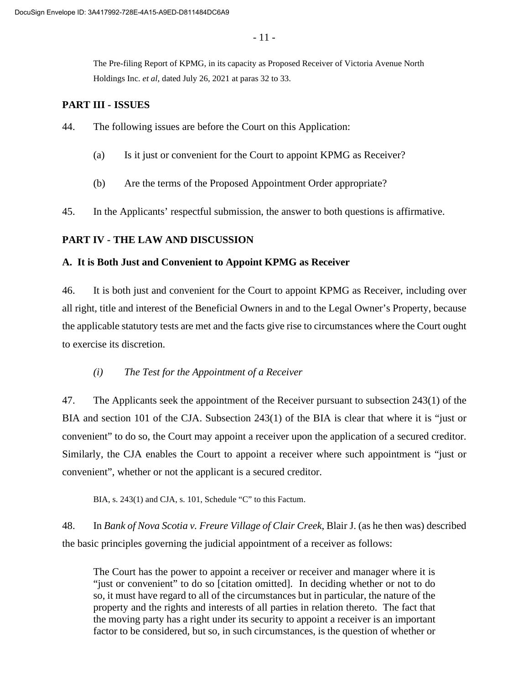The Pre-filing Report of KPMG, in its capacity as Proposed Receiver of Victoria Avenue North Holdings Inc. *et al*, dated July 26, 2021 at paras 32 to 33.

### **PART III - ISSUES**

44. The following issues are before the Court on this Application:

- (a) Is it just or convenient for the Court to appoint KPMG as Receiver?
- (b) Are the terms of the Proposed Appointment Order appropriate?
- 45. In the Applicants' respectful submission, the answer to both questions is affirmative.

### **PART IV - THE LAW AND DISCUSSION**

#### **A. It is Both Just and Convenient to Appoint KPMG as Receiver**

46. It is both just and convenient for the Court to appoint KPMG as Receiver, including over all right, title and interest of the Beneficial Owners in and to the Legal Owner's Property, because the applicable statutory tests are met and the facts give rise to circumstances where the Court ought to exercise its discretion.

#### *(i) The Test for the Appointment of a Receiver*

47. The Applicants seek the appointment of the Receiver pursuant to subsection 243(1) of the BIA and section 101 of the CJA. Subsection 243(1) of the BIA is clear that where it is "just or convenient" to do so, the Court may appoint a receiver upon the application of a secured creditor. Similarly, the CJA enables the Court to appoint a receiver where such appointment is "just or convenient", whether or not the applicant is a secured creditor.

BIA, s. 243(1) and CJA, s. 101, Schedule "C" to this Factum.

48. In *Bank of Nova Scotia v. Freure Village of Clair Creek*, Blair J. (as he then was) described the basic principles governing the judicial appointment of a receiver as follows:

The Court has the power to appoint a receiver or receiver and manager where it is "just or convenient" to do so [citation omitted]. In deciding whether or not to do so, it must have regard to all of the circumstances but in particular, the nature of the property and the rights and interests of all parties in relation thereto. The fact that the moving party has a right under its security to appoint a receiver is an important factor to be considered, but so, in such circumstances, is the question of whether or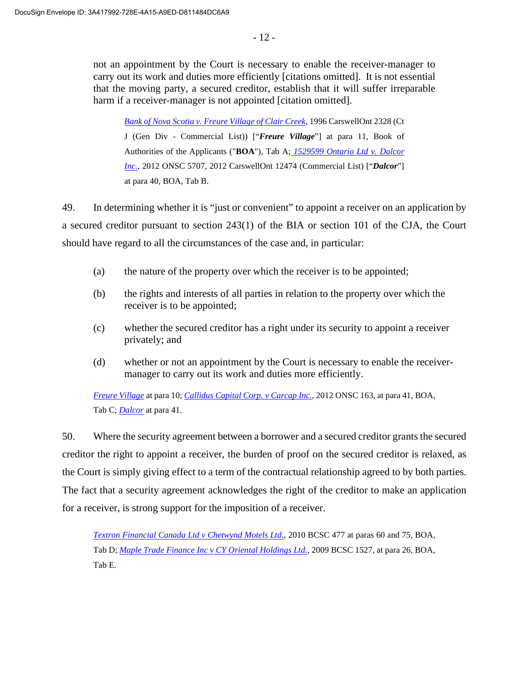not an appointment by the Court is necessary to enable the receiver-manager to carry out its work and duties more efficiently [citations omitted]. It is not essential that the moving party, a secured creditor, establish that it will suffer irreparable harm if a receiver-manager is not appointed [citation omitted].

*Bank of Nova Scotia v. Freure Village of Clair Creek,* 1996 CarswellOnt 2328 (Ct J (Gen Div - Commercial List)) ["*Freure Village*"] at para 11, Book of Authorities of the Applicants ("**BOA**"), Tab A; *1529599 Ontario Ltd v. Dalcor Inc.*, 2012 ONSC 5707, 2012 CarswellOnt 12474 (Commercial List) ["*Dalcor*"] at para 40, BOA, Tab B.

49. In determining whether it is "just or convenient" to appoint a receiver on an application by a secured creditor pursuant to section 243(1) of the BIA or section 101 of the CJA, the Court should have regard to all the circumstances of the case and, in particular:

- (a) the nature of the property over which the receiver is to be appointed;
- (b) the rights and interests of all parties in relation to the property over which the receiver is to be appointed;
- (c) whether the secured creditor has a right under its security to appoint a receiver privately; and
- (d) whether or not an appointment by the Court is necessary to enable the receivermanager to carry out its work and duties more efficiently.

*Freure Village* at para 10; *Callidus Capital Corp. v Carcap Inc.,* 2012 ONSC 163, at para 41, BOA, Tab C; *Dalcor* at para 41.

50. Where the security agreement between a borrower and a secured creditor grants the secured creditor the right to appoint a receiver, the burden of proof on the secured creditor is relaxed, as the Court is simply giving effect to a term of the contractual relationship agreed to by both parties. The fact that a security agreement acknowledges the right of the creditor to make an application for a receiver, is strong support for the imposition of a receiver.

*Textron Financial Canada Ltd v Chetwynd Motels Ltd.*, 2010 BCSC 477 at paras 60 and 75, BOA, Tab D; *Maple Trade Finance Inc v CY Oriental Holdings Ltd.*, 2009 BCSC 1527, at para 26, BOA, Tab E.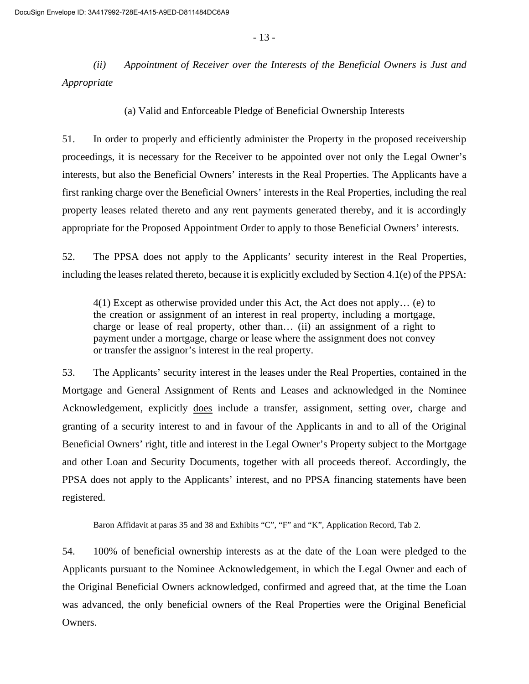*(ii) Appointment of Receiver over the Interests of the Beneficial Owners is Just and Appropriate* 

(a) Valid and Enforceable Pledge of Beneficial Ownership Interests

51. In order to properly and efficiently administer the Property in the proposed receivership proceedings, it is necessary for the Receiver to be appointed over not only the Legal Owner's interests, but also the Beneficial Owners' interests in the Real Properties. The Applicants have a first ranking charge over the Beneficial Owners' interests in the Real Properties, including the real property leases related thereto and any rent payments generated thereby, and it is accordingly appropriate for the Proposed Appointment Order to apply to those Beneficial Owners' interests.

52. The PPSA does not apply to the Applicants' security interest in the Real Properties, including the leases related thereto, because it is explicitly excluded by Section 4.1(e) of the PPSA:

4(1) Except as otherwise provided under this Act, the Act does not apply… (e) to the creation or assignment of an interest in real property, including a mortgage, charge or lease of real property, other than… (ii) an assignment of a right to payment under a mortgage, charge or lease where the assignment does not convey or transfer the assignor's interest in the real property.

53. The Applicants' security interest in the leases under the Real Properties, contained in the Mortgage and General Assignment of Rents and Leases and acknowledged in the Nominee Acknowledgement, explicitly does include a transfer, assignment, setting over, charge and granting of a security interest to and in favour of the Applicants in and to all of the Original Beneficial Owners' right, title and interest in the Legal Owner's Property subject to the Mortgage and other Loan and Security Documents, together with all proceeds thereof. Accordingly, the PPSA does not apply to the Applicants' interest, and no PPSA financing statements have been registered.

Baron Affidavit at paras 35 and 38 and Exhibits "C", "F" and "K", Application Record, Tab 2.

54. 100% of beneficial ownership interests as at the date of the Loan were pledged to the Applicants pursuant to the Nominee Acknowledgement, in which the Legal Owner and each of the Original Beneficial Owners acknowledged, confirmed and agreed that, at the time the Loan was advanced, the only beneficial owners of the Real Properties were the Original Beneficial Owners.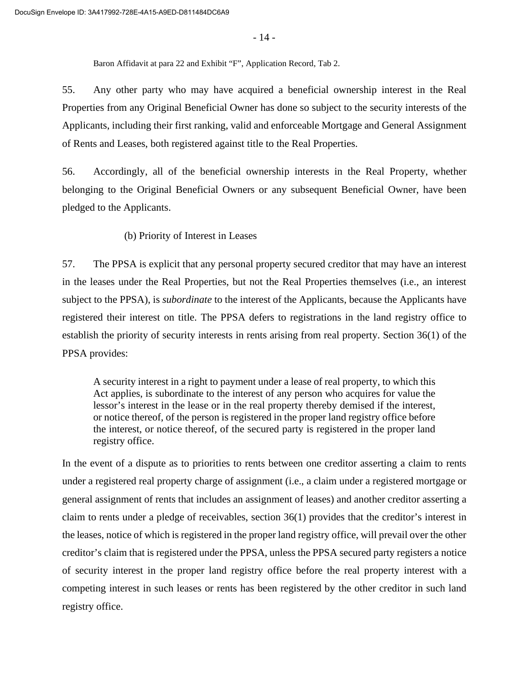- 14 -

Baron Affidavit at para 22 and Exhibit "F", Application Record, Tab 2.

55. Any other party who may have acquired a beneficial ownership interest in the Real Properties from any Original Beneficial Owner has done so subject to the security interests of the Applicants, including their first ranking, valid and enforceable Mortgage and General Assignment of Rents and Leases, both registered against title to the Real Properties.

56. Accordingly, all of the beneficial ownership interests in the Real Property, whether belonging to the Original Beneficial Owners or any subsequent Beneficial Owner, have been pledged to the Applicants.

#### (b) Priority of Interest in Leases

57. The PPSA is explicit that any personal property secured creditor that may have an interest in the leases under the Real Properties, but not the Real Properties themselves (i.e., an interest subject to the PPSA), is *subordinate* to the interest of the Applicants, because the Applicants have registered their interest on title. The PPSA defers to registrations in the land registry office to establish the priority of security interests in rents arising from real property. Section 36(1) of the PPSA provides:

A security interest in a right to payment under a lease of real property, to which this Act applies, is subordinate to the interest of any person who acquires for value the lessor's interest in the lease or in the real property thereby demised if the interest, or notice thereof, of the person is registered in the proper land registry office before the interest, or notice thereof, of the secured party is registered in the proper land registry office.

In the event of a dispute as to priorities to rents between one creditor asserting a claim to rents under a registered real property charge of assignment (i.e., a claim under a registered mortgage or general assignment of rents that includes an assignment of leases) and another creditor asserting a claim to rents under a pledge of receivables, section 36(1) provides that the creditor's interest in the leases, notice of which is registered in the proper land registry office, will prevail over the other creditor's claim that is registered under the PPSA, unless the PPSA secured party registers a notice of security interest in the proper land registry office before the real property interest with a competing interest in such leases or rents has been registered by the other creditor in such land registry office.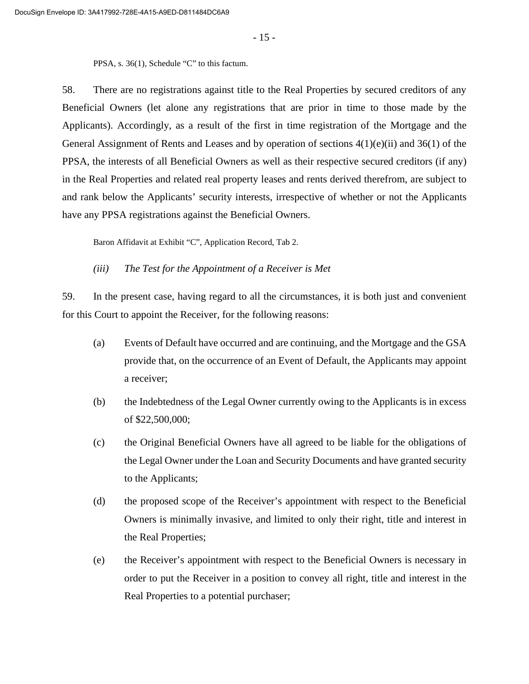PPSA, s. 36(1), Schedule "C" to this factum.

58. There are no registrations against title to the Real Properties by secured creditors of any Beneficial Owners (let alone any registrations that are prior in time to those made by the Applicants). Accordingly, as a result of the first in time registration of the Mortgage and the General Assignment of Rents and Leases and by operation of sections 4(1)(e)(ii) and 36(1) of the PPSA, the interests of all Beneficial Owners as well as their respective secured creditors (if any) in the Real Properties and related real property leases and rents derived therefrom, are subject to and rank below the Applicants' security interests, irrespective of whether or not the Applicants have any PPSA registrations against the Beneficial Owners.

Baron Affidavit at Exhibit "C", Application Record, Tab 2.

*(iii) The Test for the Appointment of a Receiver is Met* 

59. In the present case, having regard to all the circumstances, it is both just and convenient for this Court to appoint the Receiver, for the following reasons:

- (a) Events of Default have occurred and are continuing, and the Mortgage and the GSA provide that, on the occurrence of an Event of Default, the Applicants may appoint a receiver;
- (b) the Indebtedness of the Legal Owner currently owing to the Applicants is in excess of \$22,500,000;
- (c) the Original Beneficial Owners have all agreed to be liable for the obligations of the Legal Owner under the Loan and Security Documents and have granted security to the Applicants;
- (d) the proposed scope of the Receiver's appointment with respect to the Beneficial Owners is minimally invasive, and limited to only their right, title and interest in the Real Properties;
- (e) the Receiver's appointment with respect to the Beneficial Owners is necessary in order to put the Receiver in a position to convey all right, title and interest in the Real Properties to a potential purchaser;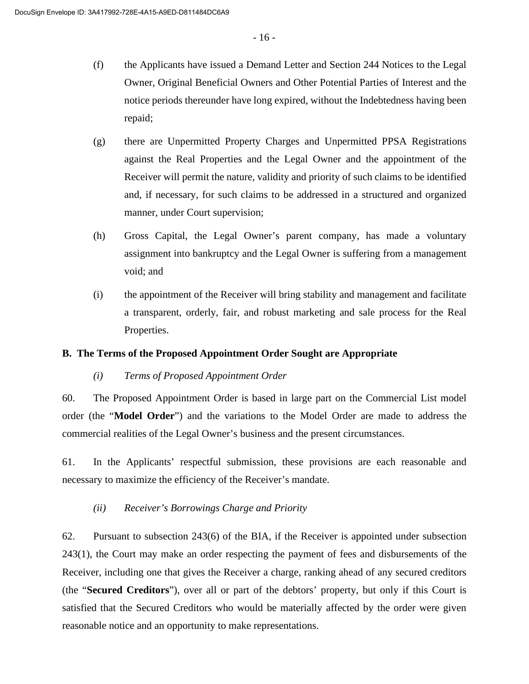- (f) the Applicants have issued a Demand Letter and Section 244 Notices to the Legal Owner, Original Beneficial Owners and Other Potential Parties of Interest and the notice periods thereunder have long expired, without the Indebtedness having been repaid;
- (g) there are Unpermitted Property Charges and Unpermitted PPSA Registrations against the Real Properties and the Legal Owner and the appointment of the Receiver will permit the nature, validity and priority of such claims to be identified and, if necessary, for such claims to be addressed in a structured and organized manner, under Court supervision;
- (h) Gross Capital, the Legal Owner's parent company, has made a voluntary assignment into bankruptcy and the Legal Owner is suffering from a management void; and
- (i) the appointment of the Receiver will bring stability and management and facilitate a transparent, orderly, fair, and robust marketing and sale process for the Real Properties.

#### **B. The Terms of the Proposed Appointment Order Sought are Appropriate**

#### *(i) Terms of Proposed Appointment Order*

60. The Proposed Appointment Order is based in large part on the Commercial List model order (the "**Model Order**") and the variations to the Model Order are made to address the commercial realities of the Legal Owner's business and the present circumstances.

61. In the Applicants' respectful submission, these provisions are each reasonable and necessary to maximize the efficiency of the Receiver's mandate.

*(ii) Receiver's Borrowings Charge and Priority* 

62. Pursuant to subsection 243(6) of the BIA, if the Receiver is appointed under subsection 243(1), the Court may make an order respecting the payment of fees and disbursements of the Receiver, including one that gives the Receiver a charge, ranking ahead of any secured creditors (the "**Secured Creditors**"), over all or part of the debtors' property, but only if this Court is satisfied that the Secured Creditors who would be materially affected by the order were given reasonable notice and an opportunity to make representations.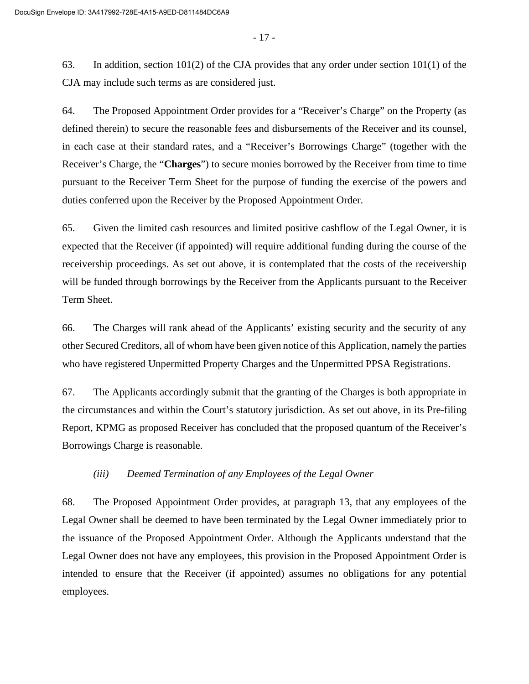- 17 -

63. In addition, section 101(2) of the CJA provides that any order under section 101(1) of the CJA may include such terms as are considered just.

64. The Proposed Appointment Order provides for a "Receiver's Charge" on the Property (as defined therein) to secure the reasonable fees and disbursements of the Receiver and its counsel, in each case at their standard rates, and a "Receiver's Borrowings Charge" (together with the Receiver's Charge, the "**Charges**") to secure monies borrowed by the Receiver from time to time pursuant to the Receiver Term Sheet for the purpose of funding the exercise of the powers and duties conferred upon the Receiver by the Proposed Appointment Order.

65. Given the limited cash resources and limited positive cashflow of the Legal Owner, it is expected that the Receiver (if appointed) will require additional funding during the course of the receivership proceedings. As set out above, it is contemplated that the costs of the receivership will be funded through borrowings by the Receiver from the Applicants pursuant to the Receiver Term Sheet.

66. The Charges will rank ahead of the Applicants' existing security and the security of any other Secured Creditors, all of whom have been given notice of this Application, namely the parties who have registered Unpermitted Property Charges and the Unpermitted PPSA Registrations.

67. The Applicants accordingly submit that the granting of the Charges is both appropriate in the circumstances and within the Court's statutory jurisdiction. As set out above, in its Pre-filing Report, KPMG as proposed Receiver has concluded that the proposed quantum of the Receiver's Borrowings Charge is reasonable.

#### *(iii) Deemed Termination of any Employees of the Legal Owner*

68. The Proposed Appointment Order provides, at paragraph 13, that any employees of the Legal Owner shall be deemed to have been terminated by the Legal Owner immediately prior to the issuance of the Proposed Appointment Order. Although the Applicants understand that the Legal Owner does not have any employees, this provision in the Proposed Appointment Order is intended to ensure that the Receiver (if appointed) assumes no obligations for any potential employees.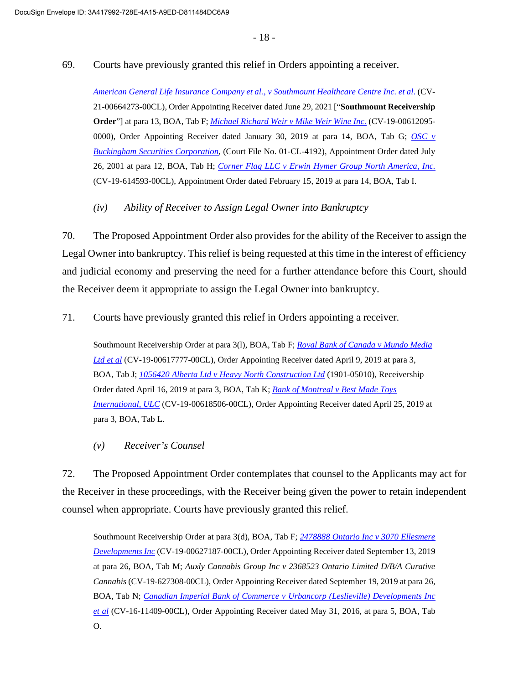69. Courts have previously granted this relief in Orders appointing a receiver.

*American General Life Insurance Company et al., v Southmount Healthcare Centre Inc. et al*. (CV-21-00664273-00CL), Order Appointing Receiver dated June 29, 2021 ["**Southmount Receivership Order**"] at para 13, BOA, Tab F; *Michael Richard Weir v Mike Weir Wine Inc.* (CV-19-00612095- 0000), Order Appointing Receiver dated January 30, 2019 at para 14, BOA, Tab G; *OSC v Buckingham Securities Corporation*, (Court File No. 01-CL-4192), Appointment Order dated July 26, 2001 at para 12, BOA, Tab H; *Corner Flag LLC v Erwin Hymer Group North America, Inc.* (CV-19-614593-00CL), Appointment Order dated February 15, 2019 at para 14, BOA, Tab I.

*(iv) Ability of Receiver to Assign Legal Owner into Bankruptcy* 

70. The Proposed Appointment Order also provides for the ability of the Receiver to assign the Legal Owner into bankruptcy. This relief is being requested at this time in the interest of efficiency and judicial economy and preserving the need for a further attendance before this Court, should the Receiver deem it appropriate to assign the Legal Owner into bankruptcy.

71. Courts have previously granted this relief in Orders appointing a receiver.

Southmount Receivership Order at para 3(l), BOA, Tab F; *Royal Bank of Canada v Mundo Media Ltd et al* (CV-19-00617777-00CL), Order Appointing Receiver dated April 9, 2019 at para 3, BOA, Tab J; *1056420 Alberta Ltd v Heavy North Construction Ltd* (1901-05010), Receivership Order dated April 16, 2019 at para 3, BOA, Tab K; *Bank of Montreal v Best Made Toys International, ULC* (CV-19-00618506-00CL), Order Appointing Receiver dated April 25, 2019 at para 3, BOA, Tab L.

*(v) Receiver's Counsel* 

72. The Proposed Appointment Order contemplates that counsel to the Applicants may act for the Receiver in these proceedings, with the Receiver being given the power to retain independent counsel when appropriate. Courts have previously granted this relief.

Southmount Receivership Order at para 3(d), BOA, Tab F; *2478888 Ontario Inc v 3070 Ellesmere Developments Inc* (CV-19-00627187-00CL), Order Appointing Receiver dated September 13, 2019 at para 26, BOA, Tab M; *Auxly Cannabis Group Inc v 2368523 Ontario Limited D/B/A Curative Cannabis* (CV-19-627308-00CL), Order Appointing Receiver dated September 19, 2019 at para 26, BOA, Tab N; *Canadian Imperial Bank of Commerce v Urbancorp (Leslieville) Developments Inc et al* (CV-16-11409-00CL), Order Appointing Receiver dated May 31, 2016, at para 5, BOA, Tab O.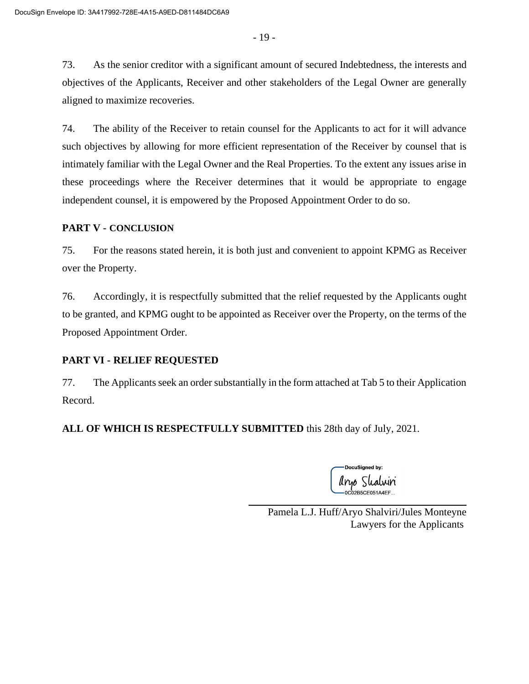73. As the senior creditor with a significant amount of secured Indebtedness, the interests and objectives of the Applicants, Receiver and other stakeholders of the Legal Owner are generally aligned to maximize recoveries.

74. The ability of the Receiver to retain counsel for the Applicants to act for it will advance such objectives by allowing for more efficient representation of the Receiver by counsel that is intimately familiar with the Legal Owner and the Real Properties. To the extent any issues arise in these proceedings where the Receiver determines that it would be appropriate to engage independent counsel, it is empowered by the Proposed Appointment Order to do so.

#### **PART V - CONCLUSION**

75. For the reasons stated herein, it is both just and convenient to appoint KPMG as Receiver over the Property.

76. Accordingly, it is respectfully submitted that the relief requested by the Applicants ought to be granted, and KPMG ought to be appointed as Receiver over the Property, on the terms of the Proposed Appointment Order.

#### **PART VI - RELIEF REQUESTED**

77. The Applicants seek an order substantially in the form attached at Tab 5 to their Application Record.

**ALL OF WHICH IS RESPECTFULLY SUBMITTED** this 28th day of July, 2021.

aryo Shalvin  $\overline{0}$ C02B5CE051A4FF

Pamela L.J. Huff/Aryo Shalviri/Jules Monteyne Lawyers for the Applicants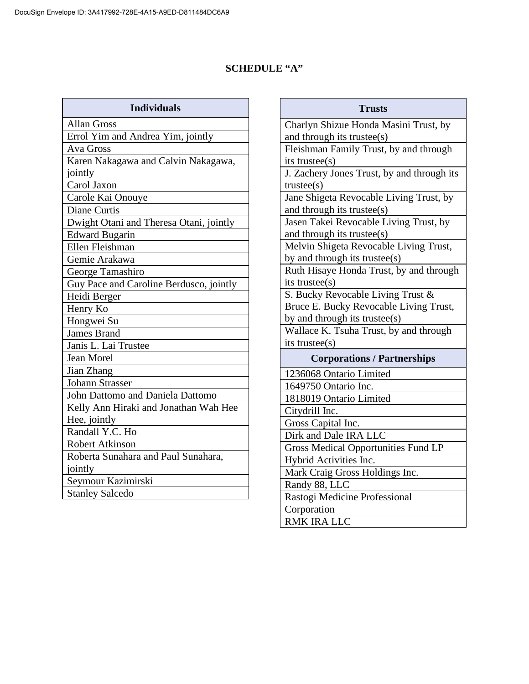# **SCHEDULE "A"**

| <b>Individuals</b>                      |
|-----------------------------------------|
| <b>Allan Gross</b>                      |
| Errol Yim and Andrea Yim, jointly       |
| Ava Gross                               |
| Karen Nakagawa and Calvin Nakagawa,     |
| jointly                                 |
| Carol Jaxon                             |
| Carole Kai Onouye                       |
| Diane Curtis                            |
| Dwight Otani and Theresa Otani, jointly |
| <b>Edward Bugarin</b>                   |
| Ellen Fleishman                         |
| Gemie Arakawa                           |
| George Tamashiro                        |
| Guy Pace and Caroline Berdusco, jointly |
| Heidi Berger                            |
| Henry Ko                                |
| Hongwei Su                              |
| <b>James Brand</b>                      |
| Janis L. Lai Trustee                    |
| Jean Morel                              |
| Jian Zhang                              |
| <b>Johann Strasser</b>                  |
| John Dattomo and Daniela Dattomo        |
| Kelly Ann Hiraki and Jonathan Wah Hee   |
| Hee, jointly                            |
| Randall Y.C. Ho                         |
| <b>Robert Atkinson</b>                  |
| Roberta Sunahara and Paul Sunahara,     |
| jointly                                 |
| Seymour Kazimirski                      |
| <b>Stanley Salcedo</b>                  |

| <b>Trusts</b>                                            |
|----------------------------------------------------------|
| Charlyn Shizue Honda Masini Trust, by                    |
| and through its trustee(s)                               |
| Fleishman Family Trust, by and through                   |
| its trustee(s)                                           |
| J. Zachery Jones Trust, by and through its<br>trustee(s) |
| Jane Shigeta Revocable Living Trust, by                  |
| and through its trustee(s)                               |
|                                                          |
| Jasen Takei Revocable Living Trust, by                   |
| and through its trustee(s)                               |
| Melvin Shigeta Revocable Living Trust,                   |
| by and through its trustee(s)                            |
| Ruth Hisaye Honda Trust, by and through                  |
| its trustee(s)                                           |
| S. Bucky Revocable Living Trust &                        |
| Bruce E. Bucky Revocable Living Trust,                   |
| by and through its trustee(s)                            |
| Wallace K. Tsuha Trust, by and through                   |
| its trustee(s)                                           |
| <b>Corporations / Partnerships</b>                       |
| 1236068 Ontario Limited                                  |
| 1649750 Ontario Inc.                                     |
| 1818019 Ontario Limited                                  |
| Citydrill Inc.                                           |
| Gross Capital Inc.                                       |
| Dirk and Dale IRA LLC                                    |
| <b>Gross Medical Opportunities Fund LP</b>               |
| Hybrid Activities Inc.                                   |
| Mark Craig Gross Holdings Inc.                           |
| Randy 88, LLC                                            |
| Rastogi Medicine Professional                            |
| Corporation                                              |
| <b>RMK IRA LLC</b>                                       |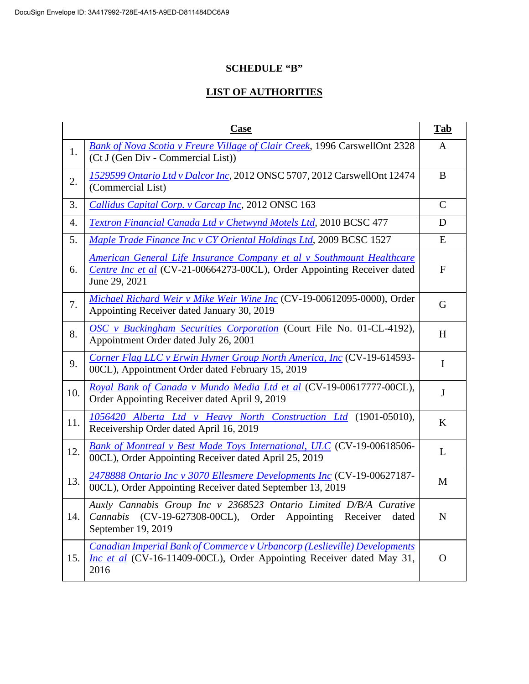# **SCHEDULE "B"**

# **LIST OF AUTHORITIES**

|     | <b>Case</b>                                                                                                                                                              | <b>Tab</b>    |
|-----|--------------------------------------------------------------------------------------------------------------------------------------------------------------------------|---------------|
| 1.  | <b>Bank of Nova Scotia v Freure Village of Clair Creek, 1996 CarswellOnt 2328</b><br>(Ct J (Gen Div - Commercial List))                                                  | A             |
| 2.  | 1529599 Ontario Ltd v Dalcor Inc, 2012 ONSC 5707, 2012 CarswellOnt 12474<br>(Commercial List)                                                                            | B             |
| 3.  | Callidus Capital Corp. v Carcap Inc, 2012 ONSC 163                                                                                                                       | $\mathcal{C}$ |
| 4.  | Textron Financial Canada Ltd v Chetwynd Motels Ltd, 2010 BCSC 477                                                                                                        | D             |
| 5.  | Maple Trade Finance Inc v CY Oriental Holdings Ltd, 2009 BCSC 1527                                                                                                       | E             |
| 6.  | American General Life Insurance Company et al v Southmount Healthcare<br>Centre Inc et al (CV-21-00664273-00CL), Order Appointing Receiver dated<br>June 29, 2021        | $\mathbf{F}$  |
| 7.  | Michael Richard Weir v Mike Weir Wine Inc (CV-19-00612095-0000), Order<br>Appointing Receiver dated January 30, 2019                                                     | G             |
| 8.  | OSC v Buckingham Securities Corporation (Court File No. 01-CL-4192),<br>Appointment Order dated July 26, 2001                                                            | H             |
| 9.  | Corner Flag LLC v Erwin Hymer Group North America, Inc (CV-19-614593-<br>00CL), Appointment Order dated February 15, 2019                                                | $\mathbf I$   |
| 10. | Royal Bank of Canada v Mundo Media Ltd et al (CV-19-00617777-00CL),<br>Order Appointing Receiver dated April 9, 2019                                                     | J             |
| 11. | 1056420 Alberta Ltd v Heavy North Construction Ltd (1901-05010),<br>Receivership Order dated April 16, 2019                                                              | $\bf K$       |
| 12. | <b>Bank of Montreal v Best Made Toys International, ULC (CV-19-00618506-</b><br>00CL), Order Appointing Receiver dated April 25, 2019                                    | L             |
| 13. | 2478888 Ontario Inc v 3070 Ellesmere Developments Inc (CV-19-00627187-<br>00CL), Order Appointing Receiver dated September 13, 2019                                      | M             |
| 14. | Auxly Cannabis Group Inc v 2368523 Ontario Limited D/B/A Curative<br>Cannabis (CV-19-627308-00CL), Order Appointing Receiver<br>dated<br>September 19, 2019              | N             |
| 15. | <b>Canadian Imperial Bank of Commerce v Urbancorp (Leslieville) Developments</b><br><i>Inc et al</i> (CV-16-11409-00CL), Order Appointing Receiver dated May 31,<br>2016 | $\Omega$      |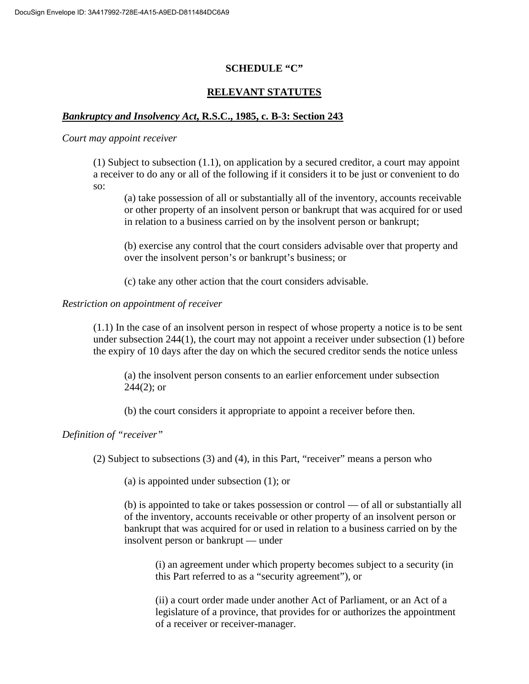## **SCHEDULE "C"**

## **RELEVANT STATUTES**

### *Bankruptcy and Insolvency Act***, R.S.C., 1985, c. B-3: Section 243**

#### *Court may appoint receiver*

(1) Subject to subsection (1.1), on application by a secured creditor, a court may appoint a receiver to do any or all of the following if it considers it to be just or convenient to do so:

(a) take possession of all or substantially all of the inventory, accounts receivable or other property of an insolvent person or bankrupt that was acquired for or used in relation to a business carried on by the insolvent person or bankrupt;

(b) exercise any control that the court considers advisable over that property and over the insolvent person's or bankrupt's business; or

(c) take any other action that the court considers advisable.

#### *Restriction on appointment of receiver*

(1.1) In the case of an insolvent person in respect of whose property a notice is to be sent under subsection 244(1), the court may not appoint a receiver under subsection (1) before the expiry of 10 days after the day on which the secured creditor sends the notice unless

(a) the insolvent person consents to an earlier enforcement under subsection  $244(2)$ ; or

(b) the court considers it appropriate to appoint a receiver before then.

*Definition of "receiver"* 

(2) Subject to subsections (3) and (4), in this Part, "receiver" means a person who

(a) is appointed under subsection (1); or

(b) is appointed to take or takes possession or control — of all or substantially all of the inventory, accounts receivable or other property of an insolvent person or bankrupt that was acquired for or used in relation to a business carried on by the insolvent person or bankrupt — under

(i) an agreement under which property becomes subject to a security (in this Part referred to as a "security agreement"), or

(ii) a court order made under another Act of Parliament, or an Act of a legislature of a province, that provides for or authorizes the appointment of a receiver or receiver-manager.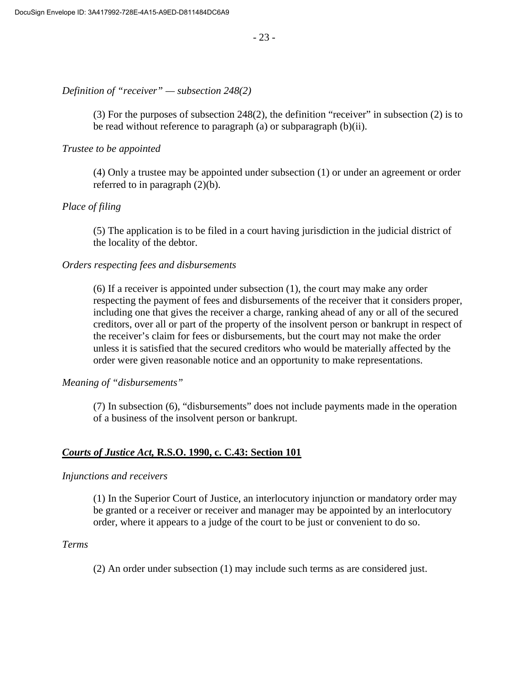#### *Definition of "receiver" — subsection 248(2)*

(3) For the purposes of subsection 248(2), the definition "receiver" in subsection (2) is to be read without reference to paragraph (a) or subparagraph (b)(ii).

#### *Trustee to be appointed*

(4) Only a trustee may be appointed under subsection (1) or under an agreement or order referred to in paragraph (2)(b).

#### *Place of filing*

(5) The application is to be filed in a court having jurisdiction in the judicial district of the locality of the debtor.

#### *Orders respecting fees and disbursements*

(6) If a receiver is appointed under subsection (1), the court may make any order respecting the payment of fees and disbursements of the receiver that it considers proper, including one that gives the receiver a charge, ranking ahead of any or all of the secured creditors, over all or part of the property of the insolvent person or bankrupt in respect of the receiver's claim for fees or disbursements, but the court may not make the order unless it is satisfied that the secured creditors who would be materially affected by the order were given reasonable notice and an opportunity to make representations.

#### *Meaning of "disbursements"*

(7) In subsection (6), "disbursements" does not include payments made in the operation of a business of the insolvent person or bankrupt.

#### *Courts of Justice Act,* **R.S.O. 1990, c. C.43: Section 101**

#### *Injunctions and receivers*

(1) In the Superior Court of Justice, an interlocutory injunction or mandatory order may be granted or a receiver or receiver and manager may be appointed by an interlocutory order, where it appears to a judge of the court to be just or convenient to do so.

#### *Terms*

(2) An order under subsection (1) may include such terms as are considered just.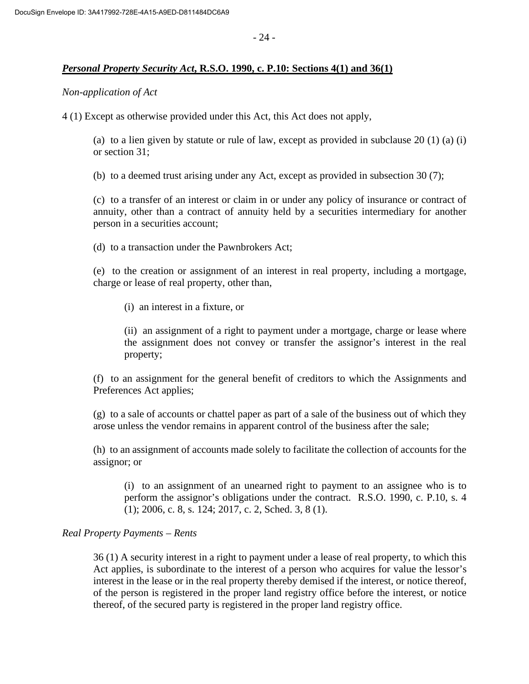- 24 -

## *Personal Property Security Act***, R.S.O. 1990, c. P.10: Sections 4(1) and 36(1)**

#### *Non-application of Act*

4 (1) Except as otherwise provided under this Act, this Act does not apply,

(a) to a lien given by statute or rule of law, except as provided in subclause 20 (1) (a) (i) or section 31;

(b) to a deemed trust arising under any Act, except as provided in subsection 30 (7);

(c) to a transfer of an interest or claim in or under any policy of insurance or contract of annuity, other than a contract of annuity held by a securities intermediary for another person in a securities account;

(d) to a transaction under the Pawnbrokers Act;

(e) to the creation or assignment of an interest in real property, including a mortgage, charge or lease of real property, other than,

(i) an interest in a fixture, or

(ii) an assignment of a right to payment under a mortgage, charge or lease where the assignment does not convey or transfer the assignor's interest in the real property;

(f) to an assignment for the general benefit of creditors to which the Assignments and Preferences Act applies;

(g) to a sale of accounts or chattel paper as part of a sale of the business out of which they arose unless the vendor remains in apparent control of the business after the sale;

(h) to an assignment of accounts made solely to facilitate the collection of accounts for the assignor; or

(i) to an assignment of an unearned right to payment to an assignee who is to perform the assignor's obligations under the contract. R.S.O. 1990, c. P.10, s. 4 (1); 2006, c. 8, s. 124; 2017, c. 2, Sched. 3, 8 (1).

#### *Real Property Payments – Rents*

36 (1) A security interest in a right to payment under a lease of real property, to which this Act applies, is subordinate to the interest of a person who acquires for value the lessor's interest in the lease or in the real property thereby demised if the interest, or notice thereof, of the person is registered in the proper land registry office before the interest, or notice thereof, of the secured party is registered in the proper land registry office.